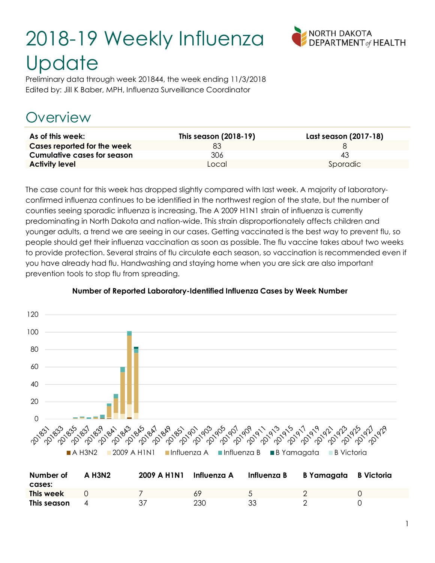# 2018-19 Weekly Influenza **Update**



Preliminary data through week 201844, the week ending 11/3/2018 Edited by: Jill K Baber, MPH, Influenza Surveillance Coordinator

#### Overview

| As of this week:                   | This season (2018-19) | Last season (2017-18) |
|------------------------------------|-----------------------|-----------------------|
| Cases reported for the week        | 83                    |                       |
| <b>Cumulative cases for season</b> | 306                   | 43                    |
| <b>Activity level</b>              | Local                 | Sporadic              |

The case count for this week has dropped slightly compared with last week. A majority of laboratoryconfirmed influenza continues to be identified in the northwest region of the state, but the number of counties seeing sporadic influenza is increasing. The A 2009 H1N1 strain of influenza is currently predominating in North Dakota and nation-wide. This strain disproportionately affects children and younger adults, a trend we are seeing in our cases. Getting vaccinated is the best way to prevent flu, so people should get their influenza vaccination as soon as possible. The flu vaccine takes about two weeks to provide protection. Several strains of flu circulate each season, so vaccination is recommended even if you have already had flu. Handwashing and staying home when you are sick are also important prevention tools to stop flu from spreading.



#### Number of Reported Laboratory-Identified Influenza Cases by Week Number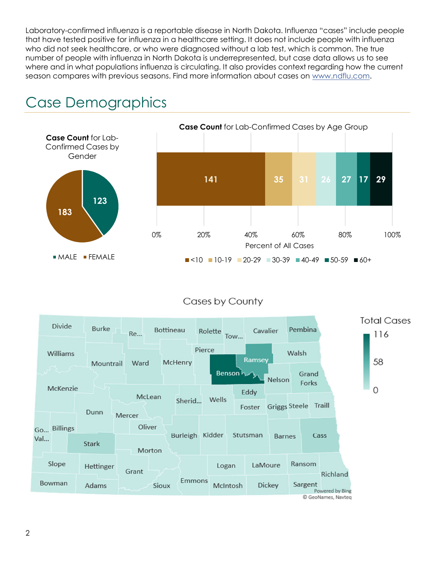Laboratory-confirmed influenza is a reportable disease in North Dakota. Influenza "cases" include people that have tested positive for influenza in a healthcare setting. It does not include people with influenza who did not seek healthcare, or who were diagnosed without a lab test, which is common. The true number of people with influenza in North Dakota is underrepresented, but case data allows us to see where and in what populations influenza is circulating. It also provides context regarding how the current season compares with previous seasons. Find more information about cases on www.ndflu.com.



#### Case Demographics

#### Cases by County

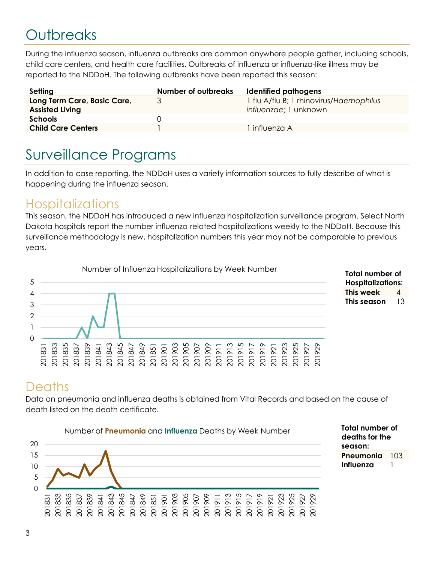## **Outbreaks**

During the influenza season, influenza outbreaks are common anywhere people gather, including schools, child care centers, and health care facilities. Outbreaks of influenza or influenza-like illness may be reported to the NDDoH. The following outbreaks have been reported this season:

| Setting                                               | <b>Number of outbreaks</b> | Identified pathogens                                             |
|-------------------------------------------------------|----------------------------|------------------------------------------------------------------|
| Long Term Care, Basic Care,<br><b>Assisted Living</b> | 3                          | 1 flu A/flu B; 1 rhinovirus/Haemophilus<br>influenzae; 1 unknown |
| <b>Schools</b>                                        | $\Box$                     |                                                                  |
| <b>Child Care Centers</b>                             |                            | influenza A                                                      |

#### Surveillance Programs

In addition to case reporting, the NDDoH uses a variety information sources to fully describe of what is happening during the influenza season.

#### **Hospitalizations**

This season, the NDDoH has introduced a new influenza hospitalization surveillance program. Select North Dakota hospitals report the number influenza-related hospitalizations weekly to the NDDoH. Because this surveillance methodology is new, hospitalization numbers this year may not be comparable to previous years.





#### **Deaths**

Data on pneumonia and influenza deaths is obtained from Vital Records and based on the cause of death listed on the death certificate.



Total number of deaths for the season: Pneumonia 103 Influenza 1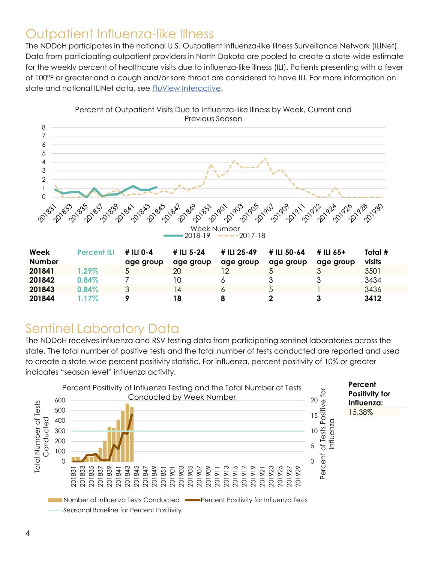#### Outpatient Influenza-like Illness

The NDDoH participates in the national U.S. Outpatient Influenza-like Illness Surveillance Network (ILINet). Data from participating outpatient providers in North Dakota are pooled to create a state-wide estimate for the weekly percent of healthcare visits due to influenza-like illness (ILI). Patients presenting with a fever of 100ºF or greater and a cough and/or sore throat are considered to have ILI. For more information on state and national ILINet data, see FluView Interactive.



**201842** 0.84% 7 10 6 3 3 3434 **201843** 0.84% 3 14 6 5 1 3436 201844 1.17% 9 18 8 2 3 3412

Percent of Outpatient Visits Due to Influenza-like Illness by Week, Current and Previous Season

# Sentinel Laboratory Data

The NDDoH receives influenza and RSV testing data from participating sentinel laboratories across the state. The total number of positive tests and the total number of tests conducted are reported and used to create a state-wide percent positivity statistic. For influenza, percent positivity of 10% or greater indicates "season level" influenza activity.

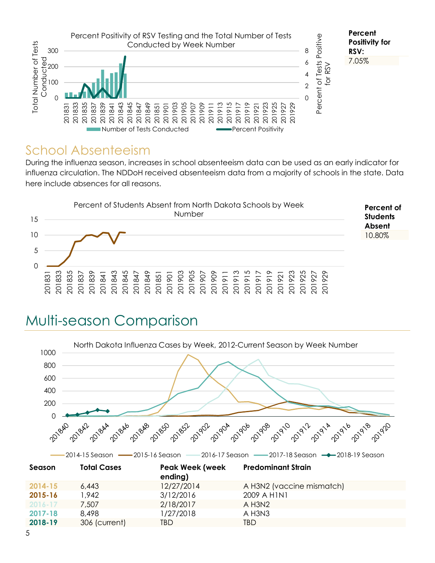

#### School Absenteeism

During the influenza season, increases in school absenteeism data can be used as an early indicator for influenza circulation. The NDDoH received absenteeism data from a majority of schools in the state. Data here include absences for all reasons.



### Multi-season Comparison